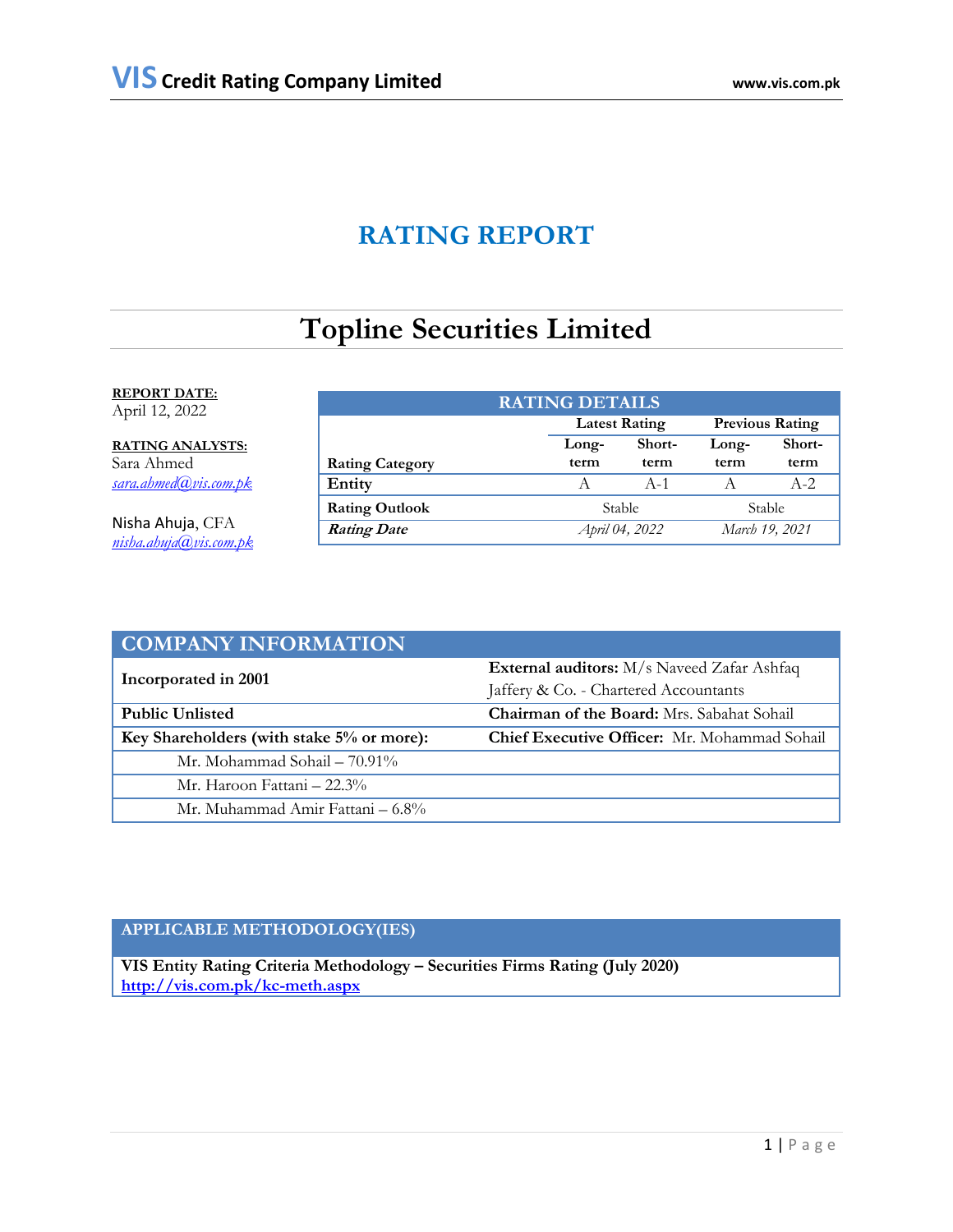## **RATING REPORT**

## **Topline Securities Limited**

### **REPORT DATE:** April 12, 2022

**RATING ANALYSTS:** Sara Ahmed *[sara.ahmed@vis.com.pk](mailto:sara.ahmed@vis.com.pk)*

Nisha Ahuja, CFA *nisha.ahuja@vis.com.pk*

| <b>RATING DETAILS</b>  |       |                      |      |                        |  |
|------------------------|-------|----------------------|------|------------------------|--|
|                        |       | <b>Latest Rating</b> |      | <b>Previous Rating</b> |  |
|                        | Long- | Short-               |      | Short-                 |  |
| <b>Rating Category</b> | term  | term                 | term | term                   |  |
| Entity                 |       | $A-1$                |      | $A-2$                  |  |
| <b>Rating Outlook</b>  |       | <b>Stable</b>        |      | Stable                 |  |
| <b>Rating Date</b>     |       | April 04, 2022       |      | March 19, 2021         |  |

| <b>COMPANY INFORMATION</b>                |                                                     |  |  |  |
|-------------------------------------------|-----------------------------------------------------|--|--|--|
| Incorporated in 2001                      | <b>External auditors:</b> M/s Naveed Zafar Ashfaq   |  |  |  |
|                                           | Jaffery & Co. - Chartered Accountants               |  |  |  |
| <b>Public Unlisted</b>                    | <b>Chairman of the Board:</b> Mrs. Sabahat Sohail   |  |  |  |
| Key Shareholders (with stake 5% or more): | <b>Chief Executive Officer:</b> Mr. Mohammad Sohail |  |  |  |
| Mr. Mohammad Sohail $-70.91\%$            |                                                     |  |  |  |
| Mr. Haroon Fattani – 22.3%                |                                                     |  |  |  |
| Mr. Muhammad Amir Fattani – 6.8%          |                                                     |  |  |  |

## **APPLICABLE METHODOLOGY(IES)**

**VIS Entity Rating Criteria Methodology – Securities Firms Rating (July 2020) <http://vis.com.pk/kc-meth.aspx>**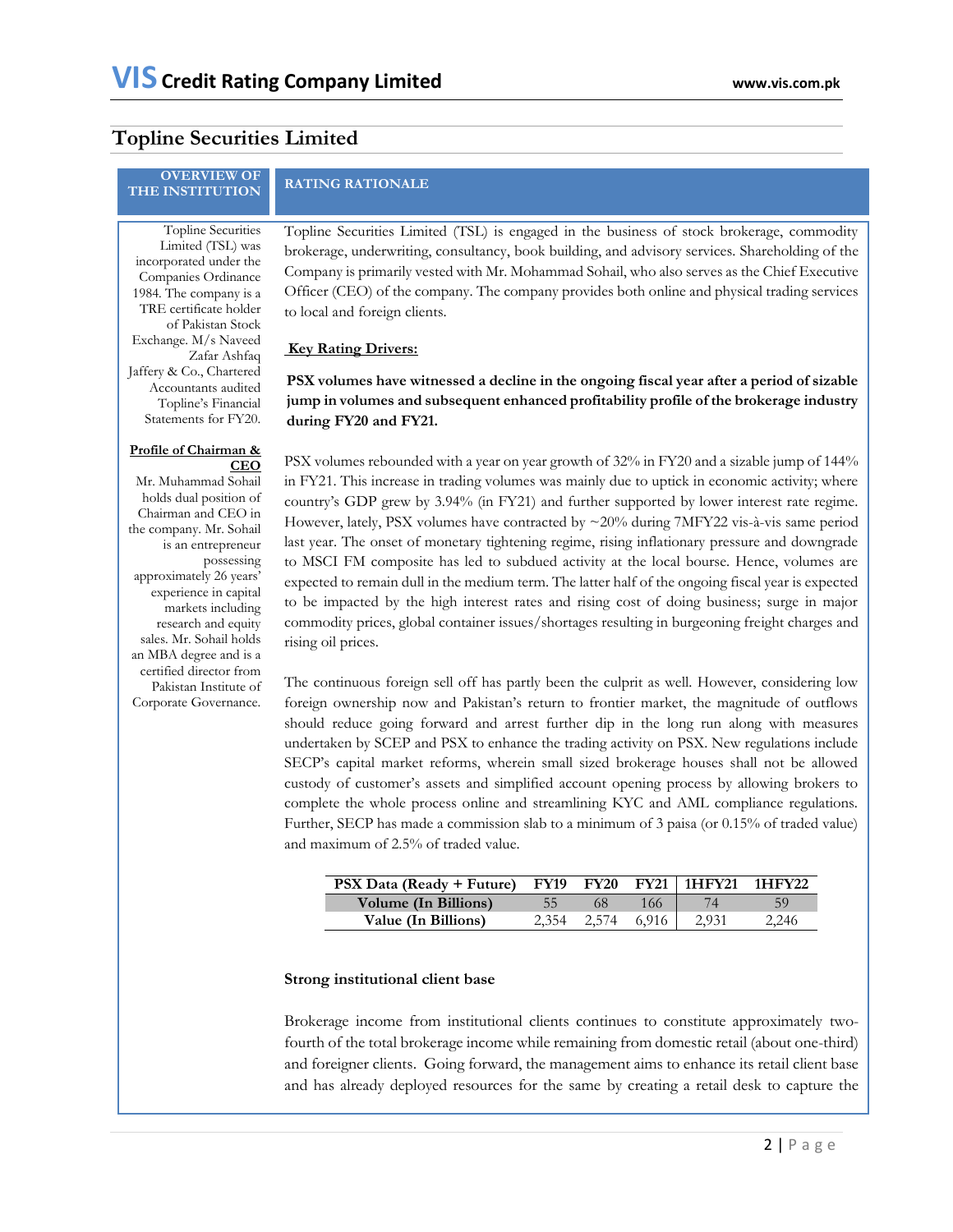## **Topline Securities Limited**

## **OVERVIEW OF**

## **THE INSTITUTION RATING RATIONALE**

Topline Securities Limited (TSL) was incorporated under the Companies Ordinance 1984. The company is a TRE certificate holder of Pakistan Stock Exchange. M/s Naveed Zafar Ashfaq Jaffery & Co., Chartered Accountants audited Topline's Financial Statements for FY20.

#### **Profile of Chairman & CEO**

Mr. Muhammad Sohail holds dual position of Chairman and CEO in the company. Mr. Sohail is an entrepreneur possessing approximately 26 years' experience in capital markets including research and equity sales. Mr. Sohail holds an MBA degree and is a certified director from Pakistan Institute of Corporate Governance.

Topline Securities Limited (TSL) is engaged in the business of stock brokerage, commodity brokerage, underwriting, consultancy, book building, and advisory services. Shareholding of the Company is primarily vested with Mr. Mohammad Sohail, who also serves as the Chief Executive Officer (CEO) of the company. The company provides both online and physical trading services to local and foreign clients.

#### **Key Rating Drivers:**

**PSX volumes have witnessed a decline in the ongoing fiscal year after a period of sizable jump in volumes and subsequent enhanced profitability profile of the brokerage industry during FY20 and FY21.** 

PSX volumes rebounded with a year on year growth of 32% in FY20 and a sizable jump of 144% in FY21. This increase in trading volumes was mainly due to uptick in economic activity; where country's GDP grew by 3.94% (in FY21) and further supported by lower interest rate regime. However, lately, PSX volumes have contracted by ~20% during 7MFY22 vis-à-vis same period last year. The onset of monetary tightening regime, rising inflationary pressure and downgrade to MSCI FM composite has led to subdued activity at the local bourse. Hence, volumes are expected to remain dull in the medium term. The latter half of the ongoing fiscal year is expected to be impacted by the high interest rates and rising cost of doing business; surge in major commodity prices, global container issues/shortages resulting in burgeoning freight charges and rising oil prices.

The continuous foreign sell off has partly been the culprit as well. However, considering low foreign ownership now and Pakistan's return to frontier market, the magnitude of outflows should reduce going forward and arrest further dip in the long run along with measures undertaken by SCEP and PSX to enhance the trading activity on PSX. New regulations include SECP's capital market reforms, wherein small sized brokerage houses shall not be allowed custody of customer's assets and simplified account opening process by allowing brokers to complete the whole process online and streamlining KYC and AML compliance regulations. Further, SECP has made a commission slab to a minimum of 3 paisa (or 0.15% of traded value) and maximum of 2.5% of traded value.

| PSX Data (Ready + Future) | FY19 FY20 |       |       | FY21   1HFY21 | 1HFY22 |
|---------------------------|-----------|-------|-------|---------------|--------|
| Volume (In Billions)      |           | 68    | 166   |               | 59     |
| Value (In Billions)       | 2.354     | 2.574 | 6.916 | 2,931         | 2,246  |

#### **Strong institutional client base**

Brokerage income from institutional clients continues to constitute approximately twofourth of the total brokerage income while remaining from domestic retail (about one-third) and foreigner clients. Going forward, the management aims to enhance its retail client base and has already deployed resources for the same by creating a retail desk to capture the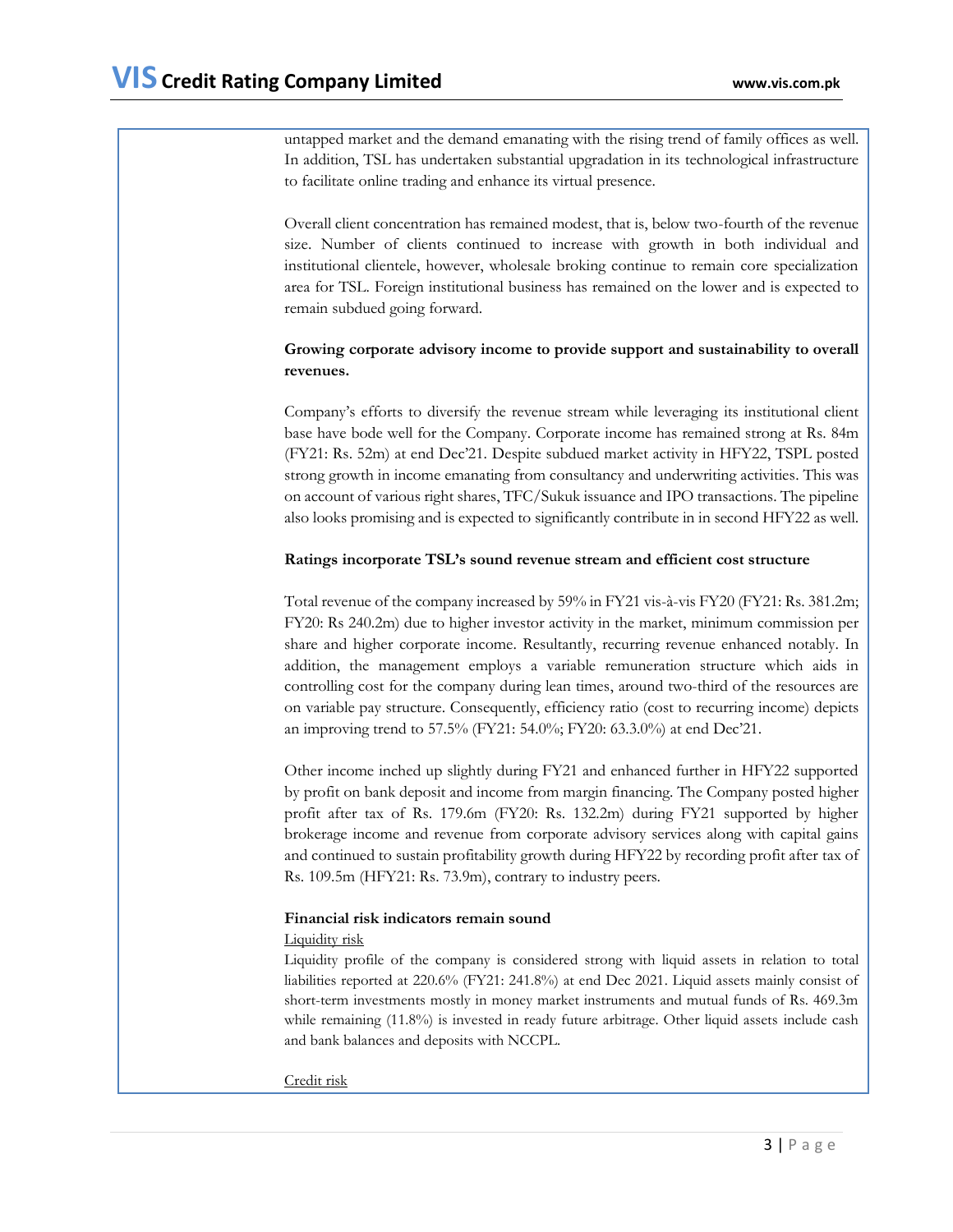untapped market and the demand emanating with the rising trend of family offices as well. In addition, TSL has undertaken substantial upgradation in its technological infrastructure to facilitate online trading and enhance its virtual presence.

Overall client concentration has remained modest, that is, below two-fourth of the revenue size. Number of clients continued to increase with growth in both individual and institutional clientele, however, wholesale broking continue to remain core specialization area for TSL. Foreign institutional business has remained on the lower and is expected to remain subdued going forward.

### **Growing corporate advisory income to provide support and sustainability to overall revenues.**

Company's efforts to diversify the revenue stream while leveraging its institutional client base have bode well for the Company. Corporate income has remained strong at Rs. 84m (FY21: Rs. 52m) at end Dec'21. Despite subdued market activity in HFY22, TSPL posted strong growth in income emanating from consultancy and underwriting activities. This was on account of various right shares, TFC/Sukuk issuance and IPO transactions. The pipeline also looks promising and is expected to significantly contribute in in second HFY22 as well.

### **Ratings incorporate TSL's sound revenue stream and efficient cost structure**

Total revenue of the company increased by 59% in FY21 vis-à-vis FY20 (FY21: Rs. 381.2m; FY20: Rs 240.2m) due to higher investor activity in the market, minimum commission per share and higher corporate income. Resultantly, recurring revenue enhanced notably. In addition, the management employs a variable remuneration structure which aids in controlling cost for the company during lean times, around two-third of the resources are on variable pay structure. Consequently, efficiency ratio (cost to recurring income) depicts an improving trend to 57.5% (FY21: 54.0%; FY20: 63.3.0%) at end Dec'21.

Other income inched up slightly during FY21 and enhanced further in HFY22 supported by profit on bank deposit and income from margin financing. The Company posted higher profit after tax of Rs. 179.6m (FY20: Rs. 132.2m) during FY21 supported by higher brokerage income and revenue from corporate advisory services along with capital gains and continued to sustain profitability growth during HFY22 by recording profit after tax of Rs. 109.5m (HFY21: Rs. 73.9m), contrary to industry peers.

#### **Financial risk indicators remain sound**

#### Liquidity risk

Liquidity profile of the company is considered strong with liquid assets in relation to total liabilities reported at 220.6% (FY21: 241.8%) at end Dec 2021. Liquid assets mainly consist of short-term investments mostly in money market instruments and mutual funds of Rs. 469.3m while remaining  $(11.8\%)$  is invested in ready future arbitrage. Other liquid assets include cash and bank balances and deposits with NCCPL.

Credit risk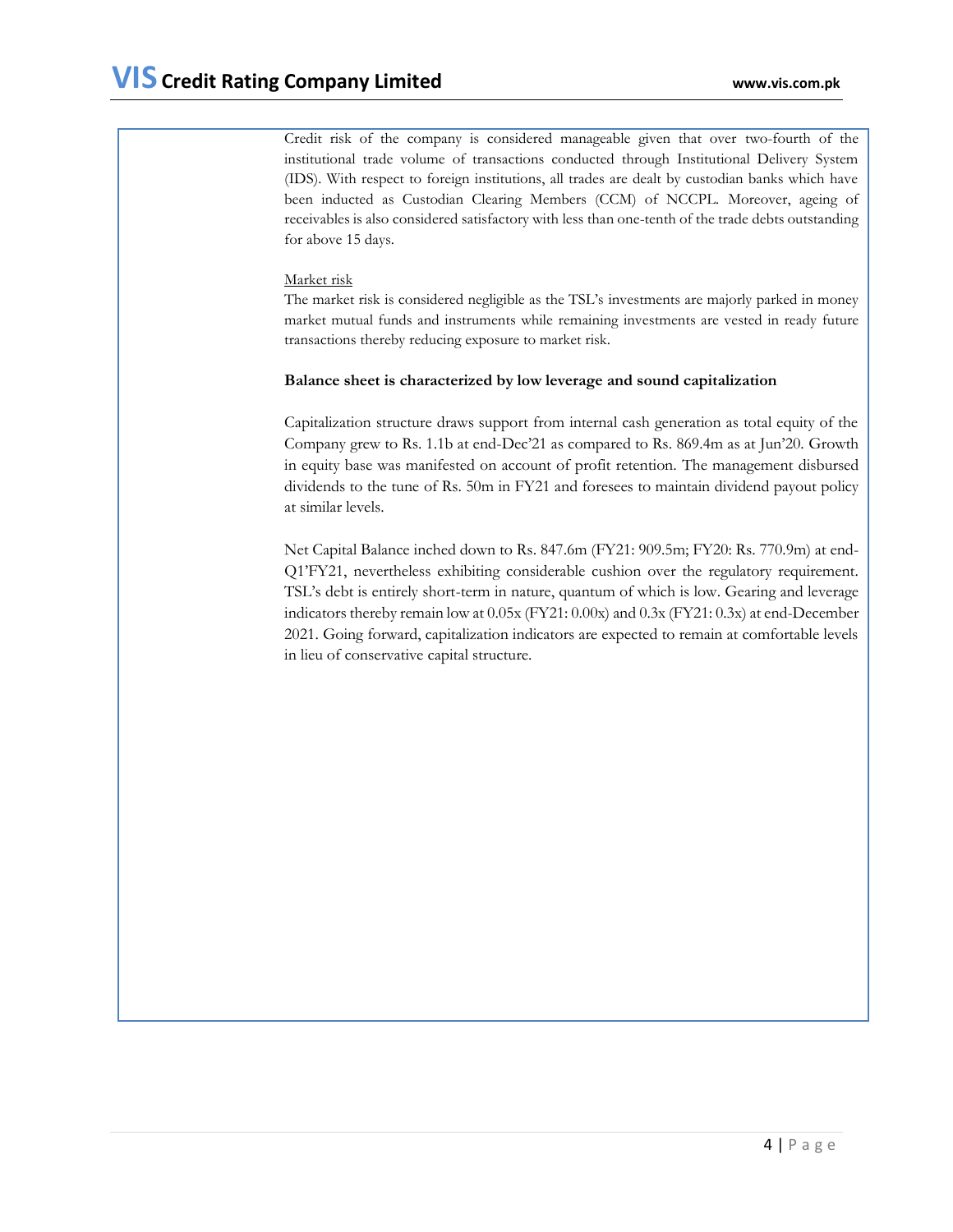Credit risk of the company is considered manageable given that over two-fourth of the institutional trade volume of transactions conducted through Institutional Delivery System (IDS). With respect to foreign institutions, all trades are dealt by custodian banks which have been inducted as Custodian Clearing Members (CCM) of NCCPL. Moreover, ageing of receivables is also considered satisfactory with less than one-tenth of the trade debts outstanding for above 15 days.

#### Market risk

The market risk is considered negligible as the TSL's investments are majorly parked in money market mutual funds and instruments while remaining investments are vested in ready future transactions thereby reducing exposure to market risk.

#### **Balance sheet is characterized by low leverage and sound capitalization**

Capitalization structure draws support from internal cash generation as total equity of the Company grew to Rs. 1.1b at end-Dec'21 as compared to Rs. 869.4m as at Jun'20. Growth in equity base was manifested on account of profit retention. The management disbursed dividends to the tune of Rs. 50m in FY21 and foresees to maintain dividend payout policy at similar levels.

Net Capital Balance inched down to Rs. 847.6m (FY21: 909.5m; FY20: Rs. 770.9m) at end-Q1'FY21, nevertheless exhibiting considerable cushion over the regulatory requirement. TSL's debt is entirely short-term in nature, quantum of which is low. Gearing and leverage indicators thereby remain low at 0.05x (FY21: 0.00x) and 0.3x (FY21: 0.3x) at end-December 2021. Going forward, capitalization indicators are expected to remain at comfortable levels in lieu of conservative capital structure.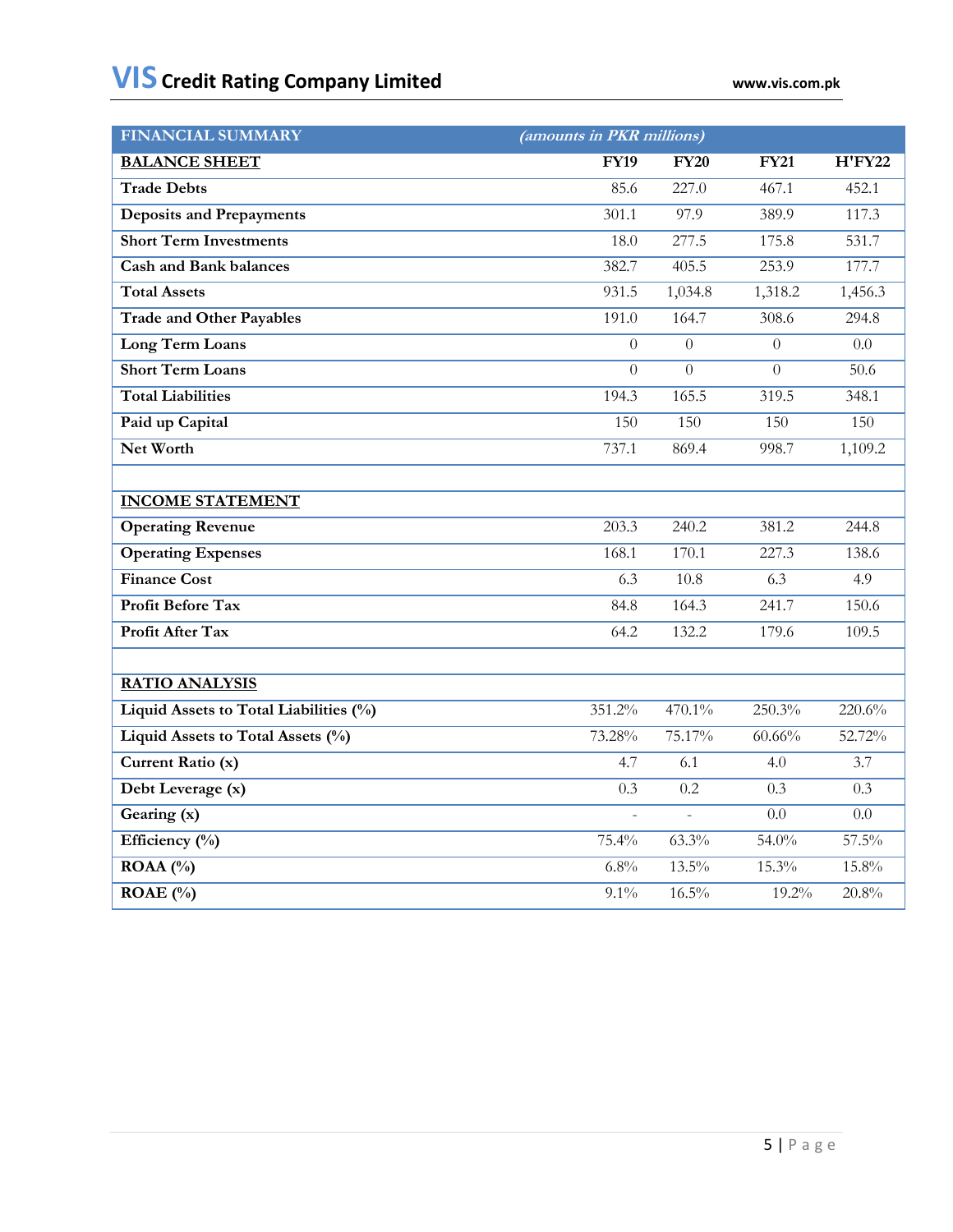| <b>FINANCIAL SUMMARY</b>               | (amounts in PKR millions) |                  |             |                  |  |
|----------------------------------------|---------------------------|------------------|-------------|------------------|--|
| <b>BALANCE SHEET</b>                   | <b>FY19</b>               | <b>FY20</b>      | <b>FY21</b> | <b>H'FY22</b>    |  |
| <b>Trade Debts</b>                     | 85.6                      | 227.0            | 467.1       | 452.1            |  |
| <b>Deposits and Prepayments</b>        | 301.1                     | 97.9             | 389.9       | 117.3            |  |
| <b>Short Term Investments</b>          | 18.0                      | 277.5            | 175.8       | 531.7            |  |
| <b>Cash and Bank balances</b>          | 382.7                     | 405.5            | 253.9       | 177.7            |  |
| <b>Total Assets</b>                    | 931.5                     | 1,034.8          | 1,318.2     | 1,456.3          |  |
| <b>Trade and Other Payables</b>        | 191.0                     | 164.7            | 308.6       | 294.8            |  |
| <b>Long Term Loans</b>                 | $\theta$                  | $\Omega$         | $\theta$    | 0.0              |  |
| <b>Short Term Loans</b>                | $\overline{0}$            | $\Omega$         | $\theta$    | 50.6             |  |
| <b>Total Liabilities</b>               | 194.3                     | 165.5            | 319.5       | 348.1            |  |
| Paid up Capital                        | 150                       | 150              | 150         | 150              |  |
| Net Worth                              | 737.1                     | 869.4            | 998.7       | 1,109.2          |  |
|                                        |                           |                  |             |                  |  |
| <b>INCOME STATEMENT</b>                |                           |                  |             |                  |  |
| <b>Operating Revenue</b>               | 203.3                     | 240.2            | 381.2       | 244.8            |  |
| <b>Operating Expenses</b>              | 168.1                     | 170.1            | 227.3       | 138.6            |  |
| <b>Finance Cost</b>                    | 6.3                       | 10.8             | 6.3         | 4.9              |  |
| <b>Profit Before Tax</b>               | 84.8                      | 164.3            | 241.7       | 150.6            |  |
| <b>Profit After Tax</b>                | 64.2                      | 132.2            | 179.6       | 109.5            |  |
|                                        |                           |                  |             |                  |  |
| <b>RATIO ANALYSIS</b>                  |                           |                  |             |                  |  |
| Liquid Assets to Total Liabilities (%) | 351.2%                    | 470.1%           | 250.3%      | 220.6%           |  |
| Liquid Assets to Total Assets (%)      | 73.28%                    | 75.17%           | 60.66%      | 52.72%           |  |
| Current Ratio (x)                      | 4.7                       | 6.1              | 4.0         | $\overline{3.7}$ |  |
| Debt Leverage (x)                      | 0.3                       | $\overline{0.2}$ | 0.3         | 0.3              |  |
| Gearing (x)                            | $\overline{\phantom{a}}$  | $\overline{a}$   | 0.0         | $0.0\,$          |  |
| Efficiency $(\% )$                     | 75.4%                     | 63.3%            | 54.0%       | 57.5%            |  |
| ROAA (%)                               | 6.8%                      | $13.5\%$         | 15.3%       | 15.8%            |  |
| $ROAE(\%)$                             | $9.1\%$                   | $16.5\%$         | $19.2\%$    | 20.8%            |  |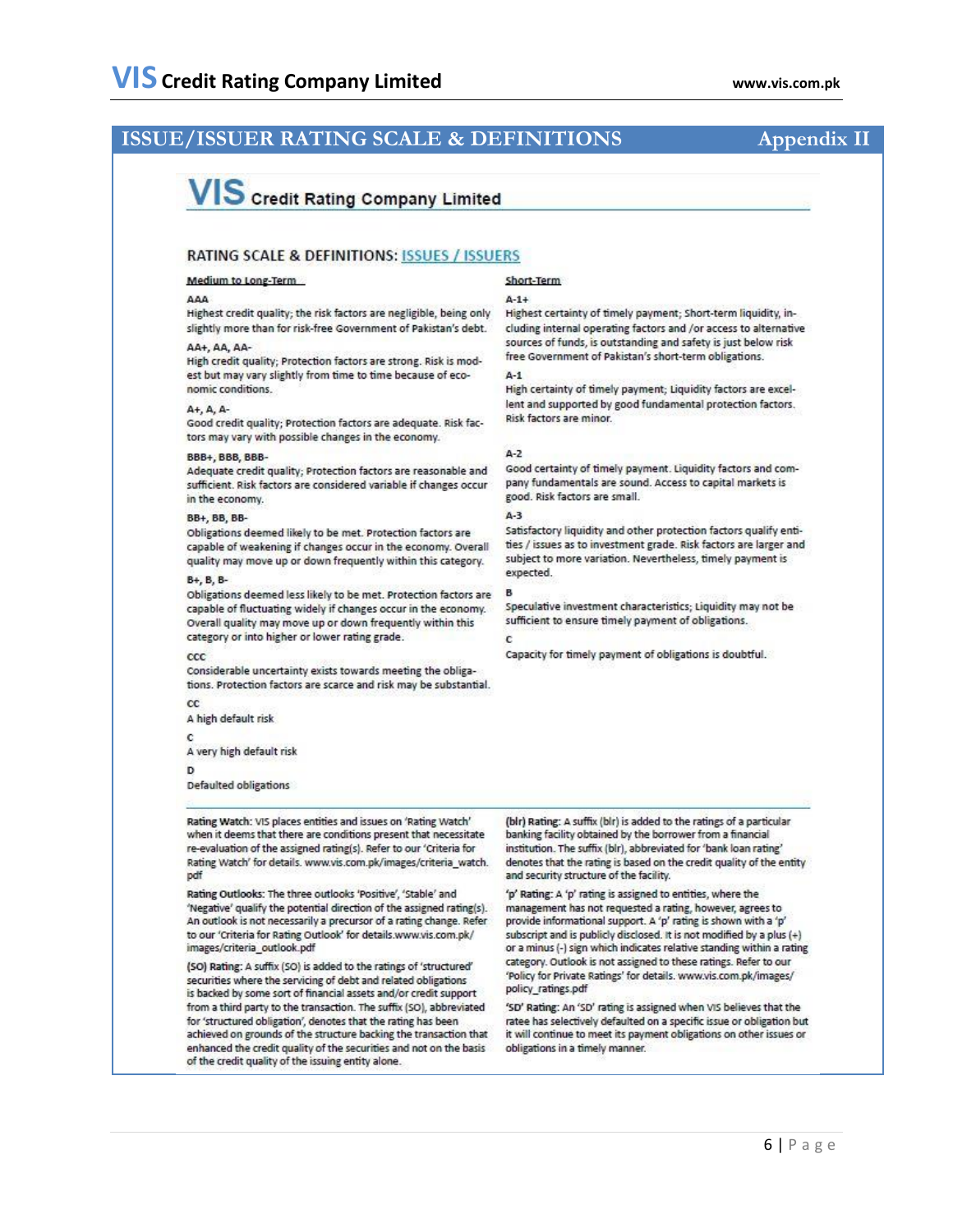## **ISSUE/ISSUER RATING SCALE & DEFINITIONS Appendix II**

# VIS Credit Rating Company Limited

#### **RATING SCALE & DEFINITIONS: ISSUES / ISSUERS**

#### Medium to Long-Term

#### AAA

Highest credit quality; the risk factors are negligible, being only slightly more than for risk-free Government of Pakistan's debt.

### AA+, AA, AA-

High credit quality; Protection factors are strong. Risk is modest but may vary slightly from time to time because of economic conditions.

#### A+, A, A-

Good credit quality; Protection factors are adequate. Risk factors may vary with possible changes in the economy.

#### BBB+, BBB, BBB-

Adequate credit quality; Protection factors are reasonable and sufficient. Risk factors are considered variable if changes occur in the economy.

#### BB+, BB, BB-

Obligations deemed likely to be met. Protection factors are capable of weakening if changes occur in the economy. Overall quality may move up or down frequently within this category.

#### B+, B, B-

Obligations deemed less likely to be met. Protection factors are capable of fluctuating widely if changes occur in the economy. Overall quality may move up or down frequently within this category or into higher or lower rating grade.

#### ccc

Considerable uncertainty exists towards meeting the obligations. Protection factors are scarce and risk may be substantial.

#### $_{cc}$

A high default risk

A very high default risk

#### D

c

Defaulted obligations

Rating Watch: VIS places entities and issues on 'Rating Watch' when it deems that there are conditions present that necessitate re-evaluation of the assigned rating(s). Refer to our 'Criteria for Rating Watch' for details. www.vis.com.pk/images/criteria\_watch. pdf

Rating Outlooks: The three outlooks 'Positive', 'Stable' and 'Negative' qualify the potential direction of the assigned rating(s). An outlook is not necessarily a precursor of a rating change. Refer to our 'Criteria for Rating Outlook' for details.www.vis.com.pk/ images/criteria\_outlook.pdf

(SO) Rating: A suffix (SO) is added to the ratings of 'structured' securities where the servicing of debt and related obligations is backed by some sort of financial assets and/or credit support from a third party to the transaction. The suffix (SO), abbreviated for 'structured obligation', denotes that the rating has been achieved on grounds of the structure backing the transaction that enhanced the credit quality of the securities and not on the basis of the credit quality of the issuing entity alone.

#### Short-Term

#### $A-1+$

Highest certainty of timely payment; Short-term liquidity, including internal operating factors and /or access to alternative sources of funds, is outstanding and safety is just below risk free Government of Pakistan's short-term obligations.

#### $\Delta - 1$

High certainty of timely payment; Liquidity factors are excellent and supported by good fundamental protection factors. Risk factors are minor.

#### $A-2$

Good certainty of timely payment. Liquidity factors and company fundamentals are sound. Access to capital markets is good. Risk factors are small.

#### $A-3$

Satisfactory liquidity and other protection factors qualify entities / issues as to investment grade. Risk factors are larger and subject to more variation. Nevertheless, timely payment is expected.

#### в

Speculative investment characteristics; Liquidity may not be sufficient to ensure timely payment of obligations.

Capacity for timely payment of obligations is doubtful.

(bir) Rating: A suffix (bir) is added to the ratings of a particular banking facility obtained by the borrower from a financial institution. The suffix (blr), abbreviated for 'bank loan rating' denotes that the rating is based on the credit quality of the entity and security structure of the facility.

'p' Rating: A 'p' rating is assigned to entities, where the management has not requested a rating, however, agrees to provide informational support. A 'p' rating is shown with a 'p' subscript and is publicly disclosed. It is not modified by a plus (+) or a minus (-) sign which indicates relative standing within a rating category. Outlook is not assigned to these ratings. Refer to our 'Policy for Private Ratings' for details. www.vis.com.pk/images/ policy\_ratings.pdf

'SD' Rating: An 'SD' rating is assigned when VIS believes that the ratee has selectively defaulted on a specific issue or obligation but it will continue to meet its payment obligations on other issues or obligations in a timely manner.